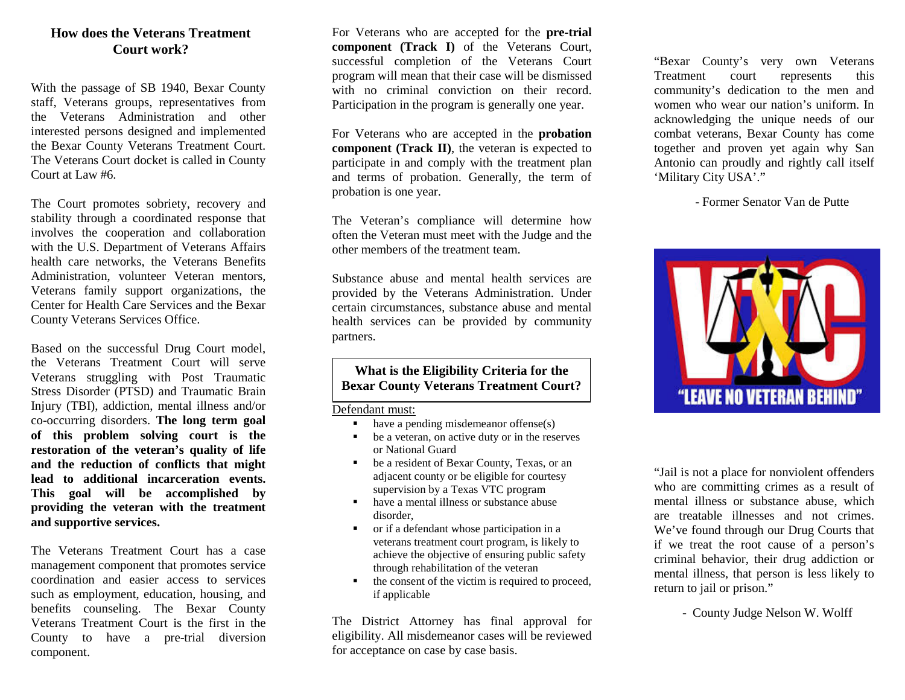#### **How does the Veterans Treatment Court work?**

With the passage of SB 1940, Bexar County staff, Veterans groups, representatives from the Veterans Administration and other interested persons designed and implemented the Bexar County Veterans Treatment Court. The Veterans Court docket is called in County Court at Law #6.

The Court promotes sobriety, recovery and stability through a coordinated response that involves the cooperation and collaboration with the U.S. Department of Veterans Affairs health care networks, the Veterans Benefits Administration, volunteer Veteran mentors, Veterans family support organizations, the Center for Health Care Services and the Bexar County Veterans Services Office.

Based on the successful Drug Court model, the Veterans Treatment Court will serve Veterans struggling with Post Traumatic Stress Disorder (PTSD) and Traumatic Brain Injury (TBI), addiction, mental illness and/or co-occurring disorders. **The long term goal of this problem solving court is the restoration of the veteran's quality of life and the reduction of conflicts that might lead to additional incarceration events. This goal will be accomplished by providing the veteran with the treatment and supportive services.** 

The Veterans Treatment Court has a case management component that promotes service coordination and easier access to services such as employment, education, housing, and benefits counseling. The Bexar County Veterans Treatment Court is the first in the County to have a pre-trial diversion component.

For Veterans who are accepted for the **pre-trial component (Track I)** of the Veterans Court, successful completion of the Veterans Court program will mean that their case will be dismissed with no criminal conviction on their record. Participation in the program is generally one year.

For Veterans who are accepted in the **probation component** (**Track II**), the veteran is expected to participate in and comply with the treatment plan and terms of probation. Generally, the term of probation is one year.

The Veteran's compliance will determine how often the Veteran must meet with the Judge and the other members of the treatment team.

Substance abuse and mental health services are provided by the Veterans Administration. Under certain circumstances, substance abuse and mental health services can be provided by community partners.

#### **What is the Eligibility Criteria for the Bexar County Veterans Treatment Court?**

Defendant must:

- $\blacksquare$  have a pending misdemeanor offense(s)
- be a veteran, on active duty or in the reserves or National Guard
- be a resident of Bexar County, Texas, or an adjacent county or be eligible for courtesy supervision by a Texas VTC program
- have a mental illness or substance abuse disorder,
- or if a defendant whose participation in a veterans treatment court program, is likely to achieve the objective of ensuring public safety through rehabilitation of the veteran
- the consent of the victim is required to proceed, if applicable

The District Attorney has final approval for eligibility. All misdemeanor cases will be reviewed for acceptance on case by case basis.

"Bexar County's very own Veterans Treatment court represents this community's dedication to the men and women who wear our nation's uniform. In acknowledging the unique needs of our combat veterans, Bexar County has come together and proven yet again why San Antonio can proudly and rightly call itself 'Military City USA'."

- Former Senator Van de Putte



"Jail is not a place for nonviolent offenders who are committing crimes as a result of mental illness or substance abuse, which are treatable illnesses and not crimes. We've found through our Drug Courts that if we treat the root cause of a person's criminal behavior, their drug addiction or mental illness, that person is less likely to return to jail or prison."

- County Judge Nelson W. Wolff